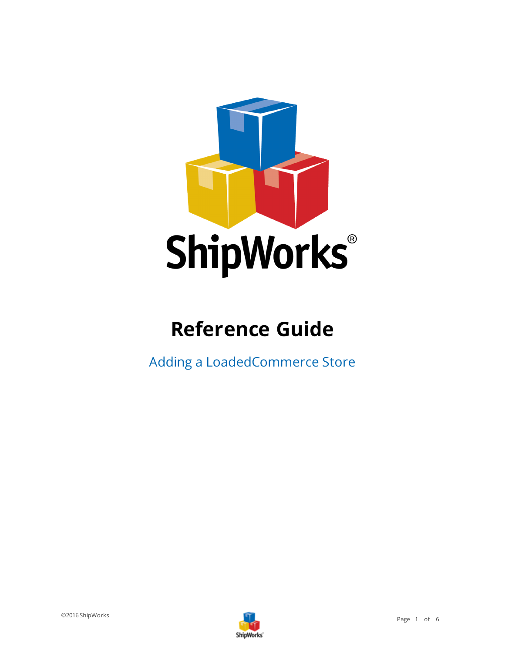

# **Reference Guide**

Adding a LoadedCommerce Store

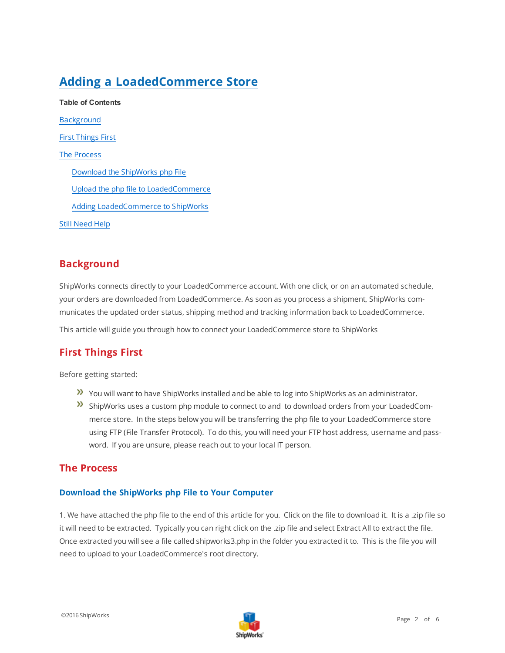# **Adding a LoadedCommerce Store**

**Table of Contents** [Background](#page-1-0) First [Things](#page-1-1) First The [Process](#page-1-2) Download the [ShipWorks](#page-1-3) php File Upload the php file to [LoadedCommerce](#page-2-0) Adding [LoadedCommerce](#page-2-1) to ShipWorks Still [Need](#page-5-0) Help

### <span id="page-1-0"></span>**Background**

ShipWorks connects directly to your LoadedCommerce account. With one click, or on an automated schedule, your orders are downloaded from LoadedCommerce. As soon as you process a shipment, ShipWorks communicates the updated order status, shipping method and tracking information back to LoadedCommerce.

<span id="page-1-1"></span>This article will guide you through how to connect your LoadedCommerce store to ShipWorks

## **First Things First**

Before getting started:

- You will want to have ShipWorks installed and be able to log into ShipWorks as an administrator.
- ShipWorks uses a custom php module to connect to and to download orders from your LoadedCommerce store. In the steps below you will be transferring the php file to your LoadedCommerce store using FTP (File Transfer Protocol). To do this, you will need your FTP host address, username and password. If you are unsure, please reach out to your local IT person.

#### <span id="page-1-3"></span><span id="page-1-2"></span>**The Process**

#### **Download the ShipWorks php File to Your Computer**

1. We have attached the php file to the end of this article for you. Click on the file to download it. It is a .zip file so it will need to be extracted. Typically you can right click on the .zip file and select Extract All to extract the file. Once extracted you will see a file called shipworks3.php in the folder you extracted it to. This is the file you will need to upload to your LoadedCommerce's root directory.

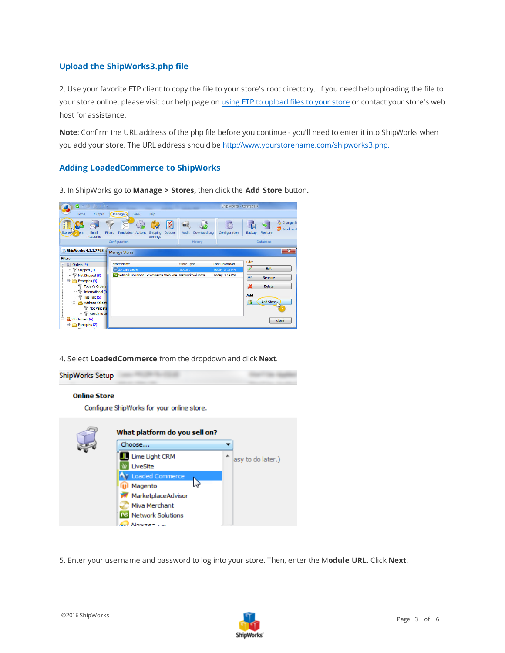#### <span id="page-2-0"></span>**Upload the ShipWorks3.php file**

2. Use your favorite FTP client to copy the file to your store's root directory. If you need help uploading the file to your store online, please visit our help page on using FTP to [upload](http://support.shipworks.com/support/solutions/articles/4000043259) files to your store or contact your store's web host for assistance.

**Note**: Confirm the URL address of the php file before you continue - you'll need to enter it into ShipWorks when you add your store. The URL address should be<http://www.yourstorename.com/shipworks3.php.>

#### <span id="page-2-1"></span>**Adding LoadedCommerce to ShipWorks**

3. In ShipWorks go to **Manage > Stores,** then click the **Add Store** button**.**



4. Select **LoadedCommerce** from the dropdown and click **Next**.



#### **Online Store**

Configure ShipWorks for your online store.



5. Enter your username and password to log into your store. Then, enter the M**odule URL**. Click **Next**.

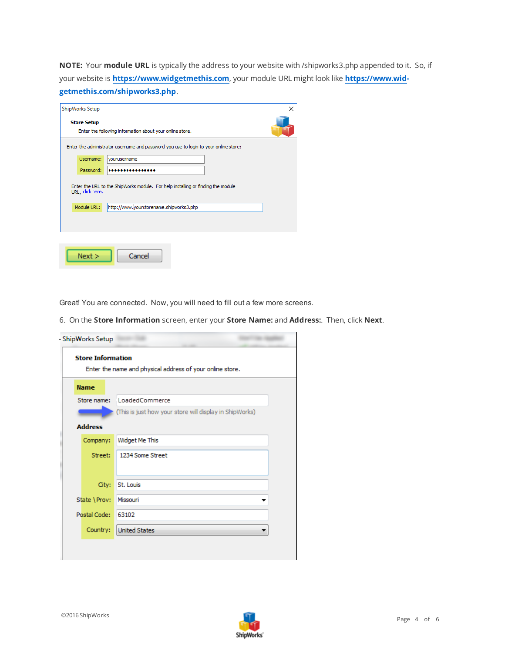**NOTE:** Your **module URL** is typically the address to your website with /shipworks3.php appended to it. So, if your website is **[https://www.widgetmethis.com](https://www.widgetmethis.com/)**, your module URL might look like **[https://www.wid](https://www.widgetmethis.com/shipworks3.php)[getmethis.com/shipworks3.php](https://www.widgetmethis.com/shipworks3.php)**.

| ShipWorks Setup                                                                                      | × |
|------------------------------------------------------------------------------------------------------|---|
| <b>Store Setup</b><br>Enter the following information about your online store.                       |   |
| Enter the administrator username and password you use to login to your online store:                 |   |
| Username:<br>vourusername                                                                            |   |
| Password:                                                                                            |   |
| Enter the URL to the ShipWorks module. For help installing or finding the module<br>URL, click here. |   |
| http://www.yourstorename.shipworks3.php<br>Module URL:                                               |   |
|                                                                                                      |   |
|                                                                                                      |   |
| Next ><br>Cancel                                                                                     |   |

Great! You are connected. Now, you will need to fill out a few more screens.

6. On the **Store Information** screen, enter your **Store Name:** and **Address:**. Then, click **Next**.

| <b>Store Information</b> | Enter the name and physical address of your online store. |
|--------------------------|-----------------------------------------------------------|
| <b>Name</b>              |                                                           |
| Store name:              | LoadedCommerce                                            |
|                          | (This is just how your store will display in ShipWorks)   |
| <b>Address</b>           |                                                           |
| Company:                 | Widget Me This                                            |
| Street:                  | 1234 Some Street                                          |
|                          |                                                           |
| City:                    | St. Louis                                                 |
| State \Prov:             | Missouri                                                  |
| Postal Code:             | 63102                                                     |
| Country:                 | <b>United States</b>                                      |
|                          |                                                           |

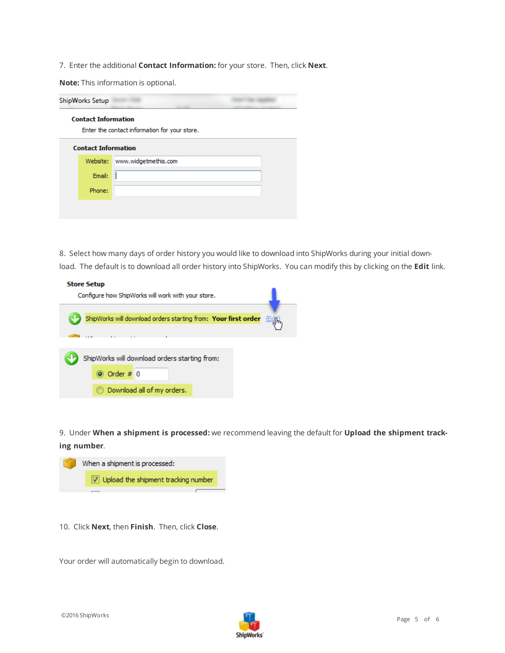7. Enter the additional **Contact Information:** for your store. Then, click **Next**.

**Note:** This information is optional.

| ShipWorks Setup |                            |                                               |  |
|-----------------|----------------------------|-----------------------------------------------|--|
|                 | <b>Contact Information</b> | Enter the contact information for your store. |  |
|                 | <b>Contact Information</b> |                                               |  |
|                 | Website:                   | www.widgetmethis.com                          |  |
|                 | Email:                     |                                               |  |
|                 | Phone:                     |                                               |  |
|                 |                            |                                               |  |
|                 |                            |                                               |  |

8. Select how many days of order history you would like to download into ShipWorks during your initial download. The default is to download all order history into ShipWorks. You can modify this by clicking on the **Edit** link.

| <b>Store Setup</b>                                                       |
|--------------------------------------------------------------------------|
| Configure how ShipWorks will work with your store.                       |
|                                                                          |
| ShipWorks will download orders starting from: Your first order<br>(Edit) |
|                                                                          |
|                                                                          |
|                                                                          |
| ShipWorks will download orders starting from:                            |
| O Order # 0                                                              |
|                                                                          |
| Download all of my orders.                                               |

9. Under **When a shipment is processed:** we recommend leaving the default for **Upload the shipment tracking number**.



10. Click **Next**, then **Finish**. Then, click **Close**.

Your order will automatically begin to download.